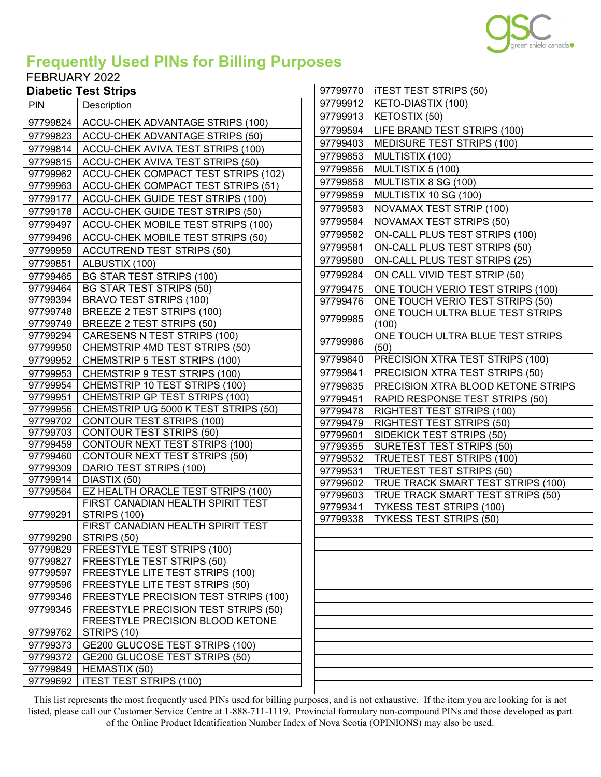

97799770 | ITEST TEST STRIPS (50) KETO-DIASTIX (100)

## **Frequently Used PINs for Billing Purposes**

## FEBRUARY 2022

| <b>Diabetic Test Strips</b> |  |
|-----------------------------|--|
|                             |  |

| <b>PIN</b>           | Description                                                       |          | 97799912   KETO-DIASTIX (100)             |
|----------------------|-------------------------------------------------------------------|----------|-------------------------------------------|
| 97799824             | ACCU-CHEK ADVANTAGE STRIPS (100)                                  | 97799913 | KETOSTIX (50)                             |
| 97799823             | ACCU-CHEK ADVANTAGE STRIPS (50)                                   | 97799594 | LIFE BRAND TEST STRIPS (100)              |
| 97799814             | ACCU-CHEK AVIVA TEST STRIPS (100)                                 | 97799403 | MEDISURE TEST STRIPS (100)                |
| 97799815             | ACCU-CHEK AVIVA TEST STRIPS (50)                                  | 97799853 | MULTISTIX (100)                           |
| 97799962             | ACCU-CHEK COMPACT TEST STRIPS (102)                               | 97799856 | MULTISTIX 5 (100)                         |
| 97799963             | ACCU-CHEK COMPACT TEST STRIPS (51)                                | 97799858 | MULTISTIX 8 SG (100)                      |
| 97799177             | ACCU-CHEK GUIDE TEST STRIPS (100)                                 | 97799859 | MULTISTIX 10 SG (100)                     |
| 97799178             | ACCU-CHEK GUIDE TEST STRIPS (50)                                  | 97799583 | NOVAMAX TEST STRIP (100)                  |
| 97799497             | ACCU-CHEK MOBILE TEST STRIPS (100)                                | 97799584 | <b>NOVAMAX TEST STRIPS (50)</b>           |
| 97799496             | ACCU-CHEK MOBILE TEST STRIPS (50)                                 | 97799582 | ON-CALL PLUS TEST STRIPS (100)            |
|                      |                                                                   | 97799581 | ON-CALL PLUS TEST STRIPS (50)             |
| 97799959             | <b>ACCUTREND TEST STRIPS (50)</b>                                 | 97799580 | <b>ON-CALL PLUS TEST STRIPS (25)</b>      |
| 97799851             | ALBUSTIX (100)                                                    | 97799284 |                                           |
| 97799465             | <b>BG STAR TEST STRIPS (100)</b>                                  |          | ON CALL VIVID TEST STRIP (50)             |
| 97799464             | <b>BG STAR TEST STRIPS (50)</b><br><b>BRAVO TEST STRIPS (100)</b> | 97799475 | ONE TOUCH VERIO TEST STRIPS (100)         |
| 97799394<br>97799748 | BREEZE 2 TEST STRIPS (100)                                        | 97799476 | ONE TOUCH VERIO TEST STRIPS (50)          |
| 97799749             | BREEZE 2 TEST STRIPS (50)                                         | 97799985 | ONE TOUCH ULTRA BLUE TEST STRIPS<br>(100) |
| 97799294             | CARESENS N TEST STRIPS (100)                                      |          | ONE TOUCH ULTRA BLUE TEST STRIPS          |
| 97799950             | CHEMSTRIP 4MD TEST STRIPS (50)                                    | 97799986 | (50)                                      |
| 97799952             | CHEMSTRIP 5 TEST STRIPS (100)                                     | 97799840 | PRECISION XTRA TEST STRIPS (100)          |
| 97799953             | CHEMSTRIP 9 TEST STRIPS (100)                                     | 97799841 | PRECISION XTRA TEST STRIPS (50)           |
| 97799954             | CHEMSTRIP 10 TEST STRIPS (100)                                    | 97799835 | PRECISION XTRA BLOOD KETONE STRIPS        |
| 97799951             | CHEMSTRIP GP TEST STRIPS (100)                                    | 97799451 | RAPID RESPONSE TEST STRIPS (50)           |
| 97799956             | CHEMSTRIP UG 5000 K TEST STRIPS (50)                              | 97799478 | <b>RIGHTEST TEST STRIPS (100)</b>         |
| 97799702             | <b>CONTOUR TEST STRIPS (100)</b>                                  | 97799479 | <b>RIGHTEST TEST STRIPS (50)</b>          |
| 97799703             | <b>CONTOUR TEST STRIPS (50)</b>                                   | 97799601 | SIDEKICK TEST STRIPS (50)                 |
| 97799459             | CONTOUR NEXT TEST STRIPS (100)                                    | 97799355 | <b>SURETEST TEST STRIPS (50)</b>          |
| 97799460             | CONTOUR NEXT TEST STRIPS (50)                                     | 97799532 | <b>TRUETEST TEST STRIPS (100)</b>         |
| 97799309             | DARIO TEST STRIPS (100)                                           | 97799531 | <b>TRUETEST TEST STRIPS (50)</b>          |
| 97799914             | DIASTIX (50)                                                      | 97799602 | TRUE TRACK SMART TEST STRIPS (100)        |
| 97799564             | EZ HEALTH ORACLE TEST STRIPS (100)                                | 97799603 | TRUE TRACK SMART TEST STRIPS (50)         |
|                      | FIRST CANADIAN HEALTH SPIRIT TEST                                 | 97799341 | <b>TYKESS TEST STRIPS (100)</b>           |
| 97799291             | <b>STRIPS (100)</b>                                               | 97799338 | <b>TYKESS TEST STRIPS (50)</b>            |
| 97799290             | FIRST CANADIAN HEALTH SPIRIT TEST<br>STRIPS (50)                  |          |                                           |
| 97799829             | <b>FREESTYLE TEST STRIPS (100)</b>                                |          |                                           |
| 97799827             | FREESTYLE TEST STRIPS (50)                                        |          |                                           |
| 97799597             | FREESTYLE LITE TEST STRIPS (100)                                  |          |                                           |
| 97799596             | FREESTYLE LITE TEST STRIPS (50)                                   |          |                                           |
| 97799346             | FREESTYLE PRECISION TEST STRIPS (100)                             |          |                                           |
| 97799345             | FREESTYLE PRECISION TEST STRIPS (50)                              |          |                                           |
|                      | FREESTYLE PRECISION BLOOD KETONE                                  |          |                                           |
| 97799762             | STRIPS (10)                                                       |          |                                           |
| 97799373             | GE200 GLUCOSE TEST STRIPS (100)                                   |          |                                           |
| 97799372             | GE200 GLUCOSE TEST STRIPS (50)                                    |          |                                           |
| 97799849             | HEMASTIX (50)                                                     |          |                                           |
| 97799692             | <b>ITEST TEST STRIPS (100)</b>                                    |          |                                           |
|                      |                                                                   |          |                                           |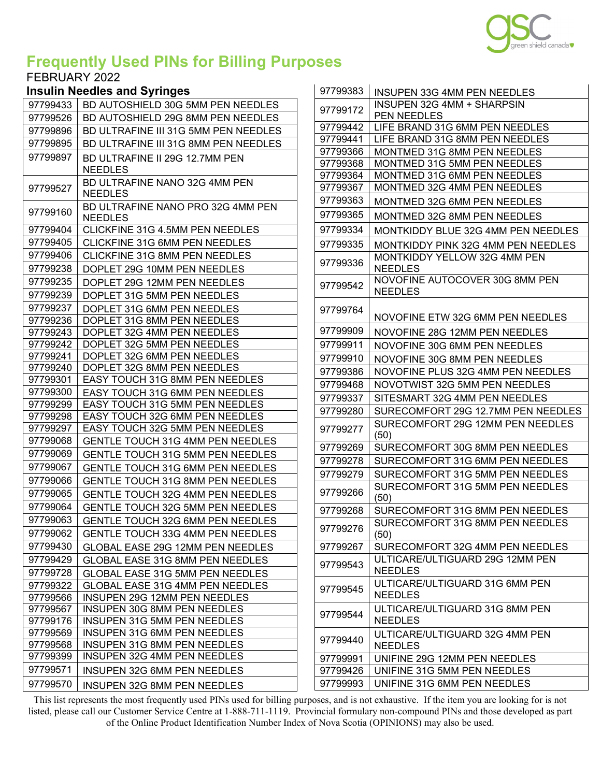

## **Frequently Used PINs for Billing Purposes**

#### FEBRUARY 2022

#### **Insulin Needles and Syringes**

| 97799433 | BD AUTOSHIELD 30G 5MM PEN NEEDLES                   |
|----------|-----------------------------------------------------|
| 97799526 | BD AUTOSHIELD 29G 8MM PEN NEEDLES                   |
| 97799896 | BD ULTRAFINE III 31G 5MM PEN NEEDLES                |
| 97799895 | BD ULTRAFINE III 31G 8MM PEN NEEDLES                |
| 97799897 | BD ULTRAFINE II 29G 12.7MM PEN<br><b>NEEDLES</b>    |
| 97799527 | BD ULTRAFINE NANO 32G 4MM PEN<br><b>NEEDLES</b>     |
| 97799160 | BD ULTRAFINE NANO PRO 32G 4MM PEN<br><b>NEEDLES</b> |
| 97799404 | CLICKFINE 31G 4.5MM PEN NEEDLES                     |
| 97799405 | CLICKFINE 31G 6MM PEN NEEDLES                       |
| 97799406 | CLICKFINE 31G 8MM PEN NEEDLES                       |
| 97799238 | DOPLET 29G 10MM PEN NEEDLES                         |
| 97799235 | DOPLET 29G 12MM PEN NEEDLES                         |
| 97799239 | DOPLET 31G 5MM PEN NEEDLES                          |
| 97799237 | DOPLET 31G 6MM PEN NEEDLES                          |
| 97799236 | DOPLET 31G 8MM PEN NEEDLES                          |
| 97799243 | DOPLET 32G 4MM PEN NEEDLES                          |
| 97799242 | DOPLET 32G 5MM PEN NEEDLES                          |
| 97799241 | DOPLET 32G 6MM PEN NEEDLES                          |
| 97799240 | DOPLET 32G 8MM PEN NEEDLES                          |
| 97799301 | EASY TOUCH 31G 8MM PEN NEEDLES                      |
| 97799300 | EASY TOUCH 31G 6MM PEN NEEDLES                      |
| 97799299 | EASY TOUCH 31G 5MM PEN NEEDLES                      |
| 97799298 | EASY TOUCH 32G 6MM PEN NEEDLES                      |
| 97799297 | EASY TOUCH 32G 5MM PEN NEEDLES                      |
| 97799068 | GENTLE TOUCH 31G 4MM PEN NEEDLES                    |
| 97799069 | GENTLE TOUCH 31G 5MM PEN NEEDLES                    |
| 97799067 | <b>GENTLE TOUCH 31G 6MM PEN NEEDLES</b>             |
| 97799066 | <b>GENTLE TOUCH 31G 8MM PEN NEEDLES</b>             |
| 97799065 | GENTLE TOUCH 32G 4MM PEN NEEDLES                    |
| 97799064 | GENTLE TOUCH 32G 5MM PEN NEEDLES                    |
| 97799063 | GENTLE TOUCH 32G 6MM PEN NEEDLES                    |
| 97799062 | <b>GENTLE TOUCH 33G 4MM PEN NEEDLES</b>             |
| 97799430 | GLOBAL EASE 29G 12MM PEN NEEDLES                    |
| 97799429 | GLOBAL EASE 31G 8MM PEN NEEDLES                     |
| 97799728 | <b>GLOBAL EASE 31G 5MM PEN NEEDLES</b>              |
| 97799322 | GLOBAL EASE 31G 4MM PEN NEEDLES                     |
| 97799566 | <b>INSUPEN 29G 12MM PEN NEEDLES</b>                 |
| 97799567 | <b>INSUPEN 30G 8MM PEN NEEDLES</b>                  |
| 97799176 | <b>INSUPEN 31G 5MM PEN NEEDLES</b>                  |
| 97799569 | INSUPEN 31G 6MM PEN NEEDLES                         |
| 97799568 | INSUPEN 31G 8MM PEN NEEDLES                         |
| 97799399 | <b>INSUPEN 32G 4MM PEN NEEDLES</b>                  |
| 97799571 | <b>INSUPEN 32G 6MM PEN NEEDLES</b>                  |
| 97799570 | <b>INSUPEN 32G 8MM PEN NEEDLES</b>                  |

| 97799383             | <b>INSUPEN 33G 4MM PEN NEEDLES</b>                    |
|----------------------|-------------------------------------------------------|
| 97799172             | INSUPEN 32G 4MM + SHARPSIN                            |
|                      | PEN NEEDLES                                           |
| 97799442             | LIFE BRAND 31G 6MM PEN NEEDLES                        |
| 97799441             | LIFE BRAND 31G 8MM PEN NEEDLES                        |
| 97799366             | MONTMED 31G 8MM PEN NEEDLES                           |
| 97799368             | MONTMED 31G 5MM PEN NEEDLES                           |
| 97799364             | MONTMED 31G 6MM PEN NEEDLES                           |
| 97799367<br>97799363 | MONTMED 32G 4MM PEN NEEDLES                           |
|                      | MONTMED 32G 6MM PEN NEEDLES                           |
| 97799365             | MONTMED 32G 8MM PEN NEEDLES                           |
| 97799334             | <b>MONTKIDDY BLUE 32G 4MM PEN NEEDLES</b>             |
| 97799335             | MONTKIDDY PINK 32G 4MM PEN NEEDLES                    |
| 97799336             | <b>MONTKIDDY YELLOW 32G 4MM PEN</b><br><b>NEEDLES</b> |
| 97799542             | NOVOFINE AUTOCOVER 30G 8MM PEN<br><b>NEEDLES</b>      |
| 97799764             |                                                       |
|                      | NOVOFINE ETW 32G 6MM PEN NEEDLES                      |
| 97799909             | NOVOFINE 28G 12MM PEN NEEDLES                         |
| 97799911             | NOVOFINE 30G 6MM PEN NEEDLES                          |
| 97799910             | NOVOFINE 30G 8MM PEN NEEDLES                          |
| 97799386             | NOVOFINE PLUS 32G 4MM PEN NEEDLES                     |
| 97799468             | NOVOTWIST 32G 5MM PEN NEEDLES                         |
| 97799337             | SITESMART 32G 4MM PEN NEEDLES                         |
| 97799280             | SURECOMFORT 29G 12.7MM PEN NEEDLES                    |
| 97799277             | SURECOMFORT 29G 12MM PEN NEEDLES<br>(50)              |
| 97799269             | SURECOMFORT 30G 8MM PEN NEEDLES                       |
| 97799278             | SURECOMFORT 31G 6MM PEN NEEDLES                       |
| 97799279             | SURECOMFORT 31G 5MM PEN NEEDLES                       |
| 97799266             | SURECOMFORT 31G 5MM PEN NEEDLES<br>(50)               |
| 97799268             | SURECOMFORT 31G 8MM PEN NEEDLES                       |
| 97799276             | SURECOMFORT 31G 8MM PEN NEEDLES<br>(50)               |
| 97799267             | SURECOMFORT 32G 4MM PEN NEEDLES                       |
| 97799543             | ULTICARE/ULTIGUARD 29G 12MM PEN<br><b>NEEDLES</b>     |
| 97799545             | ULTICARE/ULTIGUARD 31G 6MM PEN<br><b>NEEDLES</b>      |
| 97799544             | ULTICARE/ULTIGUARD 31G 8MM PEN<br><b>NEEDLES</b>      |
| 97799440             | ULTICARE/ULTIGUARD 32G 4MM PEN<br><b>NEEDLES</b>      |
| 97799991             | UNIFINE 29G 12MM PEN NEEDLES                          |
| 97799426             | UNIFINE 31G 5MM PEN NEEDLES                           |
| 97799993             | UNIFINE 31G 6MM PEN NEEDLES                           |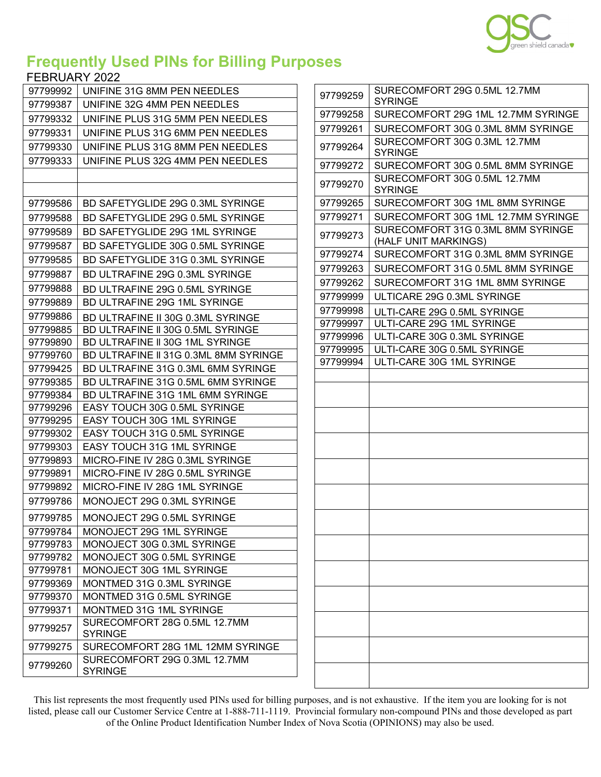

# **Frequently Used PINs for Billing Purposes**

#### FEBRUARY 2022

| 97799992             | UNIFINE 31G 8MM PEN NEEDLES                                      |
|----------------------|------------------------------------------------------------------|
| 97799387             | UNIFINE 32G 4MM PEN NEEDLES                                      |
| 97799332             | UNIFINE PLUS 31G 5MM PEN NEEDLES                                 |
| 97799331             | UNIFINE PLUS 31G 6MM PEN NEEDLES                                 |
| 97799330             | UNIFINE PLUS 31G 8MM PEN NEEDLES                                 |
| 97799333             | UNIFINE PLUS 32G 4MM PEN NEEDLES                                 |
|                      |                                                                  |
|                      |                                                                  |
| 97799586             | BD SAFETYGLIDE 29G 0.3ML SYRINGE                                 |
| 97799588             | BD SAFETYGLIDE 29G 0.5ML SYRINGE                                 |
| 97799589             | <b>BD SAFETYGLIDE 29G 1ML SYRINGE</b>                            |
| 97799587             | BD SAFETYGLIDE 30G 0.5ML SYRINGE                                 |
| 97799585             | BD SAFETYGLIDE 31G 0.3ML SYRINGE                                 |
| 97799887             | BD ULTRAFINE 29G 0.3ML SYRINGE                                   |
| 97799888             | BD ULTRAFINE 29G 0.5ML SYRINGE                                   |
| 97799889             | <b>BD ULTRAFINE 29G 1ML SYRINGE</b>                              |
| 97799886             | BD ULTRAFINE II 30G 0.3ML SYRINGE                                |
| 97799885             | BD ULTRAFINE II 30G 0.5ML SYRINGE                                |
| 97799890             | BD ULTRAFINE II 30G 1ML SYRINGE                                  |
| 97799760             | BD ULTRAFINE II 31G 0.3ML 8MM SYRINGE                            |
| 97799425             | BD ULTRAFINE 31G 0.3ML 6MM SYRINGE                               |
| 97799385             | BD ULTRAFINE 31G 0.5ML 6MM SYRINGE                               |
| 97799384             | BD ULTRAFINE 31G 1ML 6MM SYRINGE                                 |
| 97799296             | EASY TOUCH 30G 0.5ML SYRINGE                                     |
| 97799295             | EASY TOUCH 30G 1ML SYRINGE                                       |
| 97799302             | EASY TOUCH 31G 0.5ML SYRINGE                                     |
| 97799303             | EASY TOUCH 31G 1ML SYRINGE                                       |
| 97799893             | MICRO-FINE IV 28G 0.3ML SYRINGE                                  |
| 97799891<br>97799892 | MICRO-FINE IV 28G 0.5ML SYRINGE<br>MICRO-FINE IV 28G 1ML SYRINGE |
|                      |                                                                  |
| 97799786             | MONOJECT 29G 0.3ML SYRINGE                                       |
| 97799785             | MONOJECT 29G 0.5ML SYRINGE                                       |
| 97799784             | MONOJECT 29G 1ML SYRINGE                                         |
| 97799783             | MONOJECT 30G 0.3ML SYRINGE                                       |
| 97799782             | MONOJECT 30G 0.5ML SYRINGE                                       |
| 97799781             | MONOJECT 30G 1ML SYRINGE                                         |
| 97799369             | MONTMED 31G 0.3ML SYRINGE<br>MONTMED 31G 0.5ML SYRINGE           |
| 97799370<br>97799371 | MONTMED 31G 1ML SYRINGE                                          |
|                      | SURECOMFORT 28G 0.5ML 12.7MM                                     |
| 97799257             | <b>SYRINGE</b>                                                   |
| 97799275             | SURECOMFORT 28G 1ML 12MM SYRINGE                                 |
| 97799260             | SURECOMFORT 29G 0.3ML 12.7MM<br><b>SYRINGE</b>                   |

| 97799259 | SURECOMFORT 29G 0.5ML 12.7MM<br><b>SYRINGE</b>            |
|----------|-----------------------------------------------------------|
| 97799258 | SURECOMFORT 29G 1ML 12.7MM SYRINGE                        |
| 97799261 | SURECOMFORT 30G 0.3ML 8MM SYRINGE                         |
| 97799264 | SURECOMFORT 30G 0.3ML 12.7MM<br><b>SYRINGE</b>            |
| 97799272 | SURECOMFORT 30G 0.5ML 8MM SYRINGE                         |
| 97799270 | SURECOMFORT 30G 0.5ML 12.7MM<br><b>SYRINGE</b>            |
| 97799265 | SURECOMFORT 30G 1ML 8MM SYRINGE                           |
| 97799271 | SURECOMFORT 30G 1ML 12.7MM SYRINGE                        |
| 97799273 | SURECOMFORT 31G 0.3ML 8MM SYRINGE<br>(HALF UNIT MARKINGS) |
| 97799274 | SURECOMFORT 31G 0.3ML 8MM SYRINGE                         |
| 97799263 | SURECOMFORT 31G 0.5ML 8MM SYRINGE                         |
| 97799262 | SURECOMFORT 31G 1ML 8MM SYRINGE                           |
| 97799999 | ULTICARE 29G 0.3ML SYRINGE                                |
| 97799998 | ULTI-CARE 29G 0.5ML SYRINGE                               |
| 97799997 | ULTI-CARE 29G 1ML SYRINGE                                 |
| 97799996 | ULTI-CARE 30G 0.3ML SYRINGE                               |
| 97799995 | ULTI-CARE 30G 0.5ML SYRINGE                               |
| 97799994 | ULTI-CARE 30G 1ML SYRINGE                                 |
|          |                                                           |
|          |                                                           |
|          |                                                           |
|          |                                                           |
|          |                                                           |
|          |                                                           |
|          |                                                           |
|          |                                                           |
|          |                                                           |
|          |                                                           |
|          |                                                           |
|          |                                                           |
|          |                                                           |
|          |                                                           |
|          |                                                           |
|          |                                                           |
|          |                                                           |
|          |                                                           |
|          |                                                           |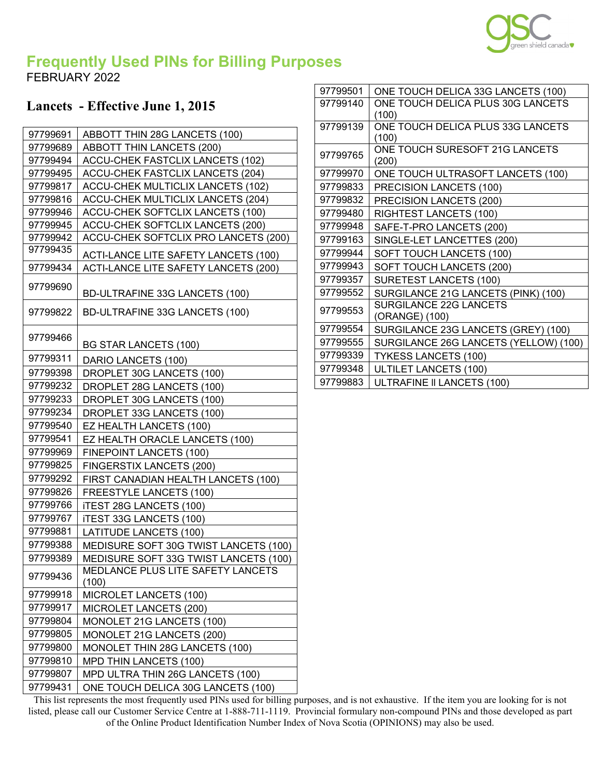

## **Frequently Used PINs for Billing Purposes** FEBRUARY 2022

## **Lancets - Effective June 1, 2015**

| 97799691 | ABBOTT THIN 28G LANCETS (100)               |
|----------|---------------------------------------------|
| 97799689 | <b>ABBOTT THIN LANCETS (200)</b>            |
| 97799494 | ACCU-CHEK FASTCLIX LANCETS (102)            |
| 97799495 | <b>ACCU-CHEK FASTCLIX LANCETS (204)</b>     |
| 97799817 | <b>ACCU-CHEK MULTICLIX LANCETS (102)</b>    |
| 97799816 | <b>ACCU-CHEK MULTICLIX LANCETS (204)</b>    |
| 97799946 | <b>ACCU-CHEK SOFTCLIX LANCETS (100)</b>     |
| 97799945 | ACCU-CHEK SOFTCLIX LANCETS (200)            |
| 97799942 | ACCU-CHEK SOFTCLIX PRO LANCETS (200)        |
| 97799435 | <b>ACTI-LANCE LITE SAFETY LANCETS (100)</b> |
| 97799434 | ACTI-LANCE LITE SAFETY LANCETS (200)        |
| 97799690 | BD-ULTRAFINE 33G LANCETS (100)              |
| 97799822 | BD-ULTRAFINE 33G LANCETS (100)              |
| 97799466 | <b>BG STAR LANCETS (100)</b>                |
| 97799311 | DARIO LANCETS (100)                         |
| 97799398 | DROPLET 30G LANCETS (100)                   |
| 97799232 | DROPLET 28G LANCETS (100)                   |
| 97799233 | DROPLET 30G LANCETS (100)                   |
| 97799234 | DROPLET 33G LANCETS (100)                   |
| 97799540 | EZ HEALTH LANCETS (100)                     |
| 97799541 | EZ HEALTH ORACLE LANCETS (100)              |
| 97799969 | <b>FINEPOINT LANCETS (100)</b>              |
| 97799825 | FINGERSTIX LANCETS (200)                    |
| 97799292 | FIRST CANADIAN HEALTH LANCETS (100)         |
| 97799826 | <b>FREESTYLE LANCETS (100)</b>              |
| 97799766 | <b>iTEST 28G LANCETS (100)</b>              |
| 97799767 | <b>ITEST 33G LANCETS (100)</b>              |
| 97799881 | <b>LATITUDE LANCETS (100)</b>               |
| 97799388 | MEDISURE SOFT 30G TWIST LANCETS (100)       |
| 97799389 | MEDISURE SOFT 33G TWIST LANCETS (100)       |
| 97799436 | MEDLANCE PLUS LITE SAFETY LANCETS<br>(100)  |
| 97799918 | MICROLET LANCETS (100)                      |
| 97799917 | MICROLET LANCETS (200)                      |
| 97799804 | MONOLET 21G LANCETS (100)                   |
| 97799805 | MONOLET 21G LANCETS (200)                   |
| 97799800 | MONOLET THIN 28G LANCETS (100)              |
| 97799810 | <b>MPD THIN LANCETS (100)</b>               |
| 97799807 | MPD ULTRA THIN 26G LANCETS (100)            |
| 97799431 | ONE TOUCH DELICA 30G LANCETS (100)          |

| ONE TOUCH DELICA 33G LANCETS (100)<br>ONE TOUCH DELICA PLUS 30G LANCETS<br>97799140<br>(100)<br>ONE TOUCH DELICA PLUS 33G LANCETS<br>97799139<br>(100)<br>ONE TOUCH SURESOFT 21G LANCETS<br>97799765<br>(200)<br>97799970<br>ONE TOUCH ULTRASOFT LANCETS (100)<br>97799833<br>PRECISION LANCETS (100)<br>97799832<br>PRECISION LANCETS (200)<br>97799480<br>RIGHTEST LANCETS (100)<br>97799948<br>SAFE-T-PRO LANCETS (200)<br>97799163<br>SINGLE-LET LANCETTES (200)<br>97799944<br>SOFT TOUCH LANCETS (100)<br>97799943<br>SOFT TOUCH LANCETS (200)<br>97799357<br><b>SURETEST LANCETS (100)</b><br>97799552<br>SURGILANCE 21G LANCETS (PINK) (100)<br>SURGILANCE 22G LANCETS<br>97799553<br>(ORANGE) (100)<br>97799554<br>SURGILANCE 23G LANCETS (GREY) (100)<br>97799555<br>SURGILANCE 26G LANCETS (YELLOW) (100)<br>97799339<br><b>TYKESS LANCETS (100)</b><br>97799348<br><b>ULTILET LANCETS (100)</b><br>97799883<br>ULTRAFINE II LANCETS (100) |          |  |
|-------------------------------------------------------------------------------------------------------------------------------------------------------------------------------------------------------------------------------------------------------------------------------------------------------------------------------------------------------------------------------------------------------------------------------------------------------------------------------------------------------------------------------------------------------------------------------------------------------------------------------------------------------------------------------------------------------------------------------------------------------------------------------------------------------------------------------------------------------------------------------------------------------------------------------------------------------|----------|--|
|                                                                                                                                                                                                                                                                                                                                                                                                                                                                                                                                                                                                                                                                                                                                                                                                                                                                                                                                                       | 97799501 |  |
|                                                                                                                                                                                                                                                                                                                                                                                                                                                                                                                                                                                                                                                                                                                                                                                                                                                                                                                                                       |          |  |
|                                                                                                                                                                                                                                                                                                                                                                                                                                                                                                                                                                                                                                                                                                                                                                                                                                                                                                                                                       |          |  |
|                                                                                                                                                                                                                                                                                                                                                                                                                                                                                                                                                                                                                                                                                                                                                                                                                                                                                                                                                       |          |  |
|                                                                                                                                                                                                                                                                                                                                                                                                                                                                                                                                                                                                                                                                                                                                                                                                                                                                                                                                                       |          |  |
|                                                                                                                                                                                                                                                                                                                                                                                                                                                                                                                                                                                                                                                                                                                                                                                                                                                                                                                                                       |          |  |
|                                                                                                                                                                                                                                                                                                                                                                                                                                                                                                                                                                                                                                                                                                                                                                                                                                                                                                                                                       |          |  |
|                                                                                                                                                                                                                                                                                                                                                                                                                                                                                                                                                                                                                                                                                                                                                                                                                                                                                                                                                       |          |  |
|                                                                                                                                                                                                                                                                                                                                                                                                                                                                                                                                                                                                                                                                                                                                                                                                                                                                                                                                                       |          |  |
|                                                                                                                                                                                                                                                                                                                                                                                                                                                                                                                                                                                                                                                                                                                                                                                                                                                                                                                                                       |          |  |
|                                                                                                                                                                                                                                                                                                                                                                                                                                                                                                                                                                                                                                                                                                                                                                                                                                                                                                                                                       |          |  |
|                                                                                                                                                                                                                                                                                                                                                                                                                                                                                                                                                                                                                                                                                                                                                                                                                                                                                                                                                       |          |  |
|                                                                                                                                                                                                                                                                                                                                                                                                                                                                                                                                                                                                                                                                                                                                                                                                                                                                                                                                                       |          |  |
|                                                                                                                                                                                                                                                                                                                                                                                                                                                                                                                                                                                                                                                                                                                                                                                                                                                                                                                                                       |          |  |
|                                                                                                                                                                                                                                                                                                                                                                                                                                                                                                                                                                                                                                                                                                                                                                                                                                                                                                                                                       |          |  |
|                                                                                                                                                                                                                                                                                                                                                                                                                                                                                                                                                                                                                                                                                                                                                                                                                                                                                                                                                       |          |  |
|                                                                                                                                                                                                                                                                                                                                                                                                                                                                                                                                                                                                                                                                                                                                                                                                                                                                                                                                                       |          |  |
|                                                                                                                                                                                                                                                                                                                                                                                                                                                                                                                                                                                                                                                                                                                                                                                                                                                                                                                                                       |          |  |
|                                                                                                                                                                                                                                                                                                                                                                                                                                                                                                                                                                                                                                                                                                                                                                                                                                                                                                                                                       |          |  |
|                                                                                                                                                                                                                                                                                                                                                                                                                                                                                                                                                                                                                                                                                                                                                                                                                                                                                                                                                       |          |  |
|                                                                                                                                                                                                                                                                                                                                                                                                                                                                                                                                                                                                                                                                                                                                                                                                                                                                                                                                                       |          |  |
|                                                                                                                                                                                                                                                                                                                                                                                                                                                                                                                                                                                                                                                                                                                                                                                                                                                                                                                                                       |          |  |
|                                                                                                                                                                                                                                                                                                                                                                                                                                                                                                                                                                                                                                                                                                                                                                                                                                                                                                                                                       |          |  |
|                                                                                                                                                                                                                                                                                                                                                                                                                                                                                                                                                                                                                                                                                                                                                                                                                                                                                                                                                       |          |  |